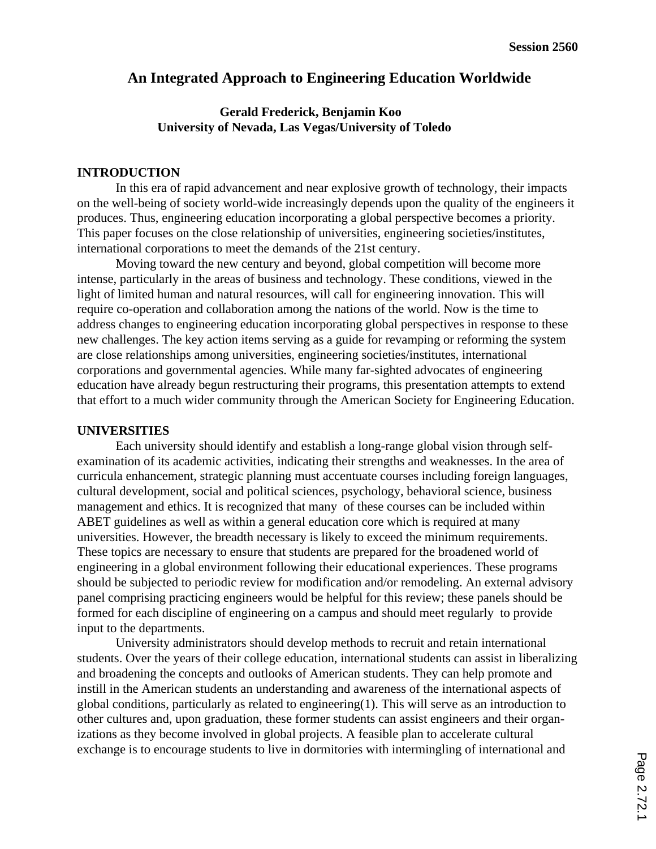# **An Integrated Approach to Engineering Education Worldwide**

## **Gerald Frederick, Benjamin Koo University of Nevada, Las Vegas/University of Toledo**

### **INTRODUCTION**

In this era of rapid advancement and near explosive growth of technology, their impacts on the well-being of society world-wide increasingly depends upon the quality of the engineers it produces. Thus, engineering education incorporating a global perspective becomes a priority. This paper focuses on the close relationship of universities, engineering societies/institutes, international corporations to meet the demands of the 21st century.

Moving toward the new century and beyond, global competition will become more intense, particularly in the areas of business and technology. These conditions, viewed in the light of limited human and natural resources, will call for engineering innovation. This will require co-operation and collaboration among the nations of the world. Now is the time to address changes to engineering education incorporating global perspectives in response to these new challenges. The key action items serving as a guide for revamping or reforming the system are close relationships among universities, engineering societies/institutes, international corporations and governmental agencies. While many far-sighted advocates of engineering education have already begun restructuring their programs, this presentation attempts to extend that effort to a much wider community through the American Society for Engineering Education.

#### **UNIVERSITIES**

Each university should identify and establish a long-range global vision through selfexamination of its academic activities, indicating their strengths and weaknesses. In the area of curricula enhancement, strategic planning must accentuate courses including foreign languages, cultural development, social and political sciences, psychology, behavioral science, business management and ethics. It is recognized that many of these courses can be included within ABET guidelines as well as within a general education core which is required at many universities. However, the breadth necessary is likely to exceed the minimum requirements. These topics are necessary to ensure that students are prepared for the broadened world of engineering in a global environment following their educational experiences. These programs should be subjected to periodic review for modification and/or remodeling. An external advisory panel comprising practicing engineers would be helpful for this review; these panels should be formed for each discipline of engineering on a campus and should meet regularly to provide input to the departments.

University administrators should develop methods to recruit and retain international students. Over the years of their college education, international students can assist in liberalizing and broadening the concepts and outlooks of American students. They can help promote and instill in the American students an understanding and awareness of the international aspects of global conditions, particularly as related to engineering(1). This will serve as an introduction to other cultures and, upon graduation, these former students can assist engineers and their organizations as they become involved in global projects. A feasible plan to accelerate cultural exchange is to encourage students to live in dormitories with intermingling of international and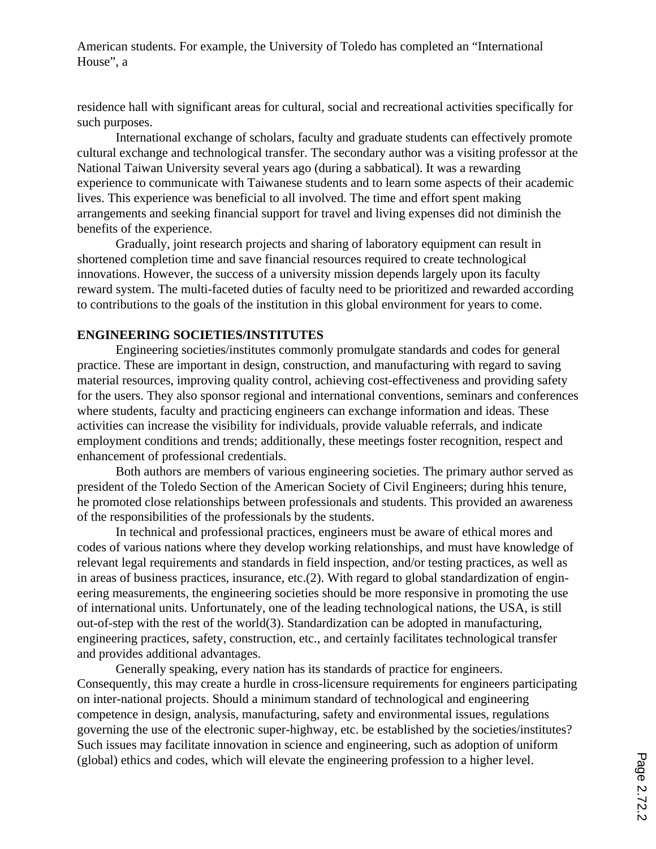American students. For example, the University of Toledo has completed an "International House", a

residence hall with significant areas for cultural, social and recreational activities specifically for such purposes.

International exchange of scholars, faculty and graduate students can effectively promote cultural exchange and technological transfer. The secondary author was a visiting professor at the National Taiwan University several years ago (during a sabbatical). It was a rewarding experience to communicate with Taiwanese students and to learn some aspects of their academic lives. This experience was beneficial to all involved. The time and effort spent making arrangements and seeking financial support for travel and living expenses did not diminish the benefits of the experience.

Gradually, joint research projects and sharing of laboratory equipment can result in shortened completion time and save financial resources required to create technological innovations. However, the success of a university mission depends largely upon its faculty reward system. The multi-faceted duties of faculty need to be prioritized and rewarded according to contributions to the goals of the institution in this global environment for years to come.

#### **ENGINEERING SOCIETIES/INSTITUTES**

Engineering societies/institutes commonly promulgate standards and codes for general practice. These are important in design, construction, and manufacturing with regard to saving material resources, improving quality control, achieving cost-effectiveness and providing safety for the users. They also sponsor regional and international conventions, seminars and conferences where students, faculty and practicing engineers can exchange information and ideas. These activities can increase the visibility for individuals, provide valuable referrals, and indicate employment conditions and trends; additionally, these meetings foster recognition, respect and enhancement of professional credentials.

Both authors are members of various engineering societies. The primary author served as president of the Toledo Section of the American Society of Civil Engineers; during hhis tenure, he promoted close relationships between professionals and students. This provided an awareness of the responsibilities of the professionals by the students.

In technical and professional practices, engineers must be aware of ethical mores and codes of various nations where they develop working relationships, and must have knowledge of relevant legal requirements and standards in field inspection, and/or testing practices, as well as in areas of business practices, insurance, etc.(2). With regard to global standardization of engineering measurements, the engineering societies should be more responsive in promoting the use of international units. Unfortunately, one of the leading technological nations, the USA, is still out-of-step with the rest of the world(3). Standardization can be adopted in manufacturing, engineering practices, safety, construction, etc., and certainly facilitates technological transfer and provides additional advantages.

Generally speaking, every nation has its standards of practice for engineers. Consequently, this may create a hurdle in cross-licensure requirements for engineers participating on inter-national projects. Should a minimum standard of technological and engineering competence in design, analysis, manufacturing, safety and environmental issues, regulations governing the use of the electronic super-highway, etc. be established by the societies/institutes? Such issues may facilitate innovation in science and engineering, such as adoption of uniform (global) ethics and codes, which will elevate the engineering profession to a higher level.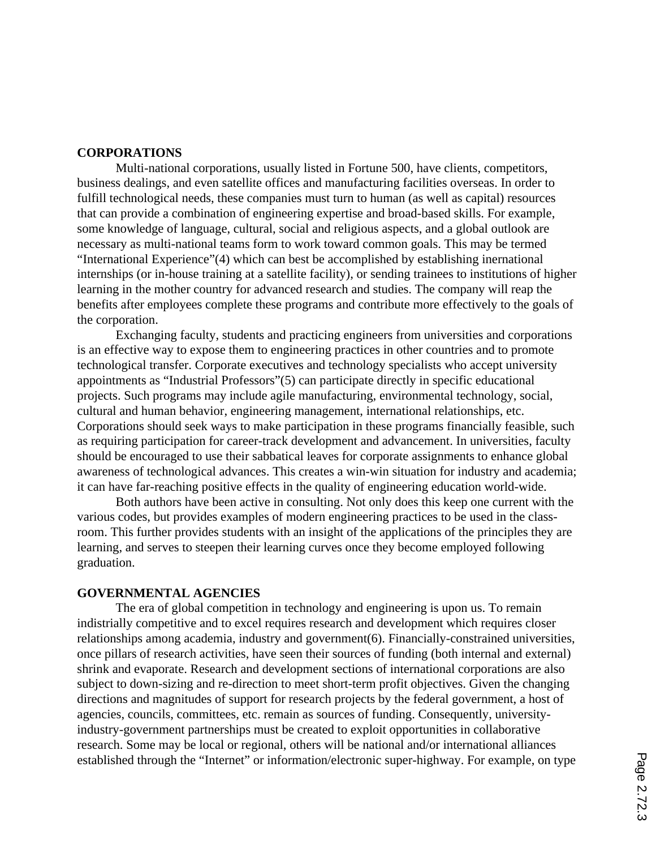#### **CORPORATIONS**

Multi-national corporations, usually listed in Fortune 500, have clients, competitors, business dealings, and even satellite offices and manufacturing facilities overseas. In order to fulfill technological needs, these companies must turn to human (as well as capital) resources that can provide a combination of engineering expertise and broad-based skills. For example, some knowledge of language, cultural, social and religious aspects, and a global outlook are necessary as multi-national teams form to work toward common goals. This may be termed "International Experience"(4) which can best be accomplished by establishing inernational internships (or in-house training at a satellite facility), or sending trainees to institutions of higher learning in the mother country for advanced research and studies. The company will reap the benefits after employees complete these programs and contribute more effectively to the goals of the corporation.

Exchanging faculty, students and practicing engineers from universities and corporations is an effective way to expose them to engineering practices in other countries and to promote technological transfer. Corporate executives and technology specialists who accept university appointments as "Industrial Professors"(5) can participate directly in specific educational projects. Such programs may include agile manufacturing, environmental technology, social, cultural and human behavior, engineering management, international relationships, etc. Corporations should seek ways to make participation in these programs financially feasible, such as requiring participation for career-track development and advancement. In universities, faculty should be encouraged to use their sabbatical leaves for corporate assignments to enhance global awareness of technological advances. This creates a win-win situation for industry and academia; it can have far-reaching positive effects in the quality of engineering education world-wide.

Both authors have been active in consulting. Not only does this keep one current with the various codes, but provides examples of modern engineering practices to be used in the classroom. This further provides students with an insight of the applications of the principles they are learning, and serves to steepen their learning curves once they become employed following graduation.

### **GOVERNMENTAL AGENCIES**

The era of global competition in technology and engineering is upon us. To remain indistrially competitive and to excel requires research and development which requires closer relationships among academia, industry and government(6). Financially-constrained universities, once pillars of research activities, have seen their sources of funding (both internal and external) shrink and evaporate. Research and development sections of international corporations are also subject to down-sizing and re-direction to meet short-term profit objectives. Given the changing directions and magnitudes of support for research projects by the federal government, a host of agencies, councils, committees, etc. remain as sources of funding. Consequently, universityindustry-government partnerships must be created to exploit opportunities in collaborative research. Some may be local or regional, others will be national and/or international alliances established through the "Internet" or information/electronic super-highway. For example, on type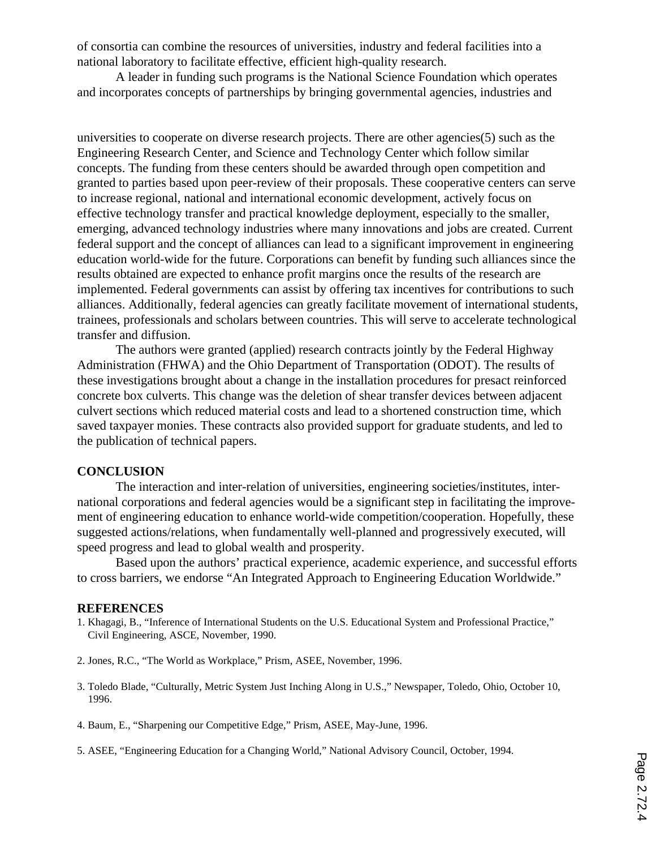of consortia can combine the resources of universities, industry and federal facilities into a national laboratory to facilitate effective, efficient high-quality research.

A leader in funding such programs is the National Science Foundation which operates and incorporates concepts of partnerships by bringing governmental agencies, industries and

universities to cooperate on diverse research projects. There are other agencies(5) such as the Engineering Research Center, and Science and Technology Center which follow similar concepts. The funding from these centers should be awarded through open competition and granted to parties based upon peer-review of their proposals. These cooperative centers can serve to increase regional, national and international economic development, actively focus on effective technology transfer and practical knowledge deployment, especially to the smaller, emerging, advanced technology industries where many innovations and jobs are created. Current federal support and the concept of alliances can lead to a significant improvement in engineering education world-wide for the future. Corporations can benefit by funding such alliances since the results obtained are expected to enhance profit margins once the results of the research are implemented. Federal governments can assist by offering tax incentives for contributions to such alliances. Additionally, federal agencies can greatly facilitate movement of international students, trainees, professionals and scholars between countries. This will serve to accelerate technological transfer and diffusion.

The authors were granted (applied) research contracts jointly by the Federal Highway Administration (FHWA) and the Ohio Department of Transportation (ODOT). The results of these investigations brought about a change in the installation procedures for presact reinforced concrete box culverts. This change was the deletion of shear transfer devices between adjacent culvert sections which reduced material costs and lead to a shortened construction time, which saved taxpayer monies. These contracts also provided support for graduate students, and led to the publication of technical papers.

#### **CONCLUSION**

The interaction and inter-relation of universities, engineering societies/institutes, international corporations and federal agencies would be a significant step in facilitating the improvement of engineering education to enhance world-wide competition/cooperation. Hopefully, these suggested actions/relations, when fundamentally well-planned and progressively executed, will speed progress and lead to global wealth and prosperity.

Based upon the authors' practical experience, academic experience, and successful efforts to cross barriers, we endorse "An Integrated Approach to Engineering Education Worldwide."

#### **REFERENCES**

- 1. Khagagi, B., "Inference of International Students on the U.S. Educational System and Professional Practice," Civil Engineering, ASCE, November, 1990.
- 2. Jones, R.C., "The World as Workplace," Prism, ASEE, November, 1996.
- 3. Toledo Blade, "Culturally, Metric System Just Inching Along in U.S.," Newspaper, Toledo, Ohio, October 10, 1996.
- 4. Baum, E., "Sharpening our Competitive Edge," Prism, ASEE, May-June, 1996.
- 5. ASEE, "Engineering Education for a Changing World," National Advisory Council, October, 1994.